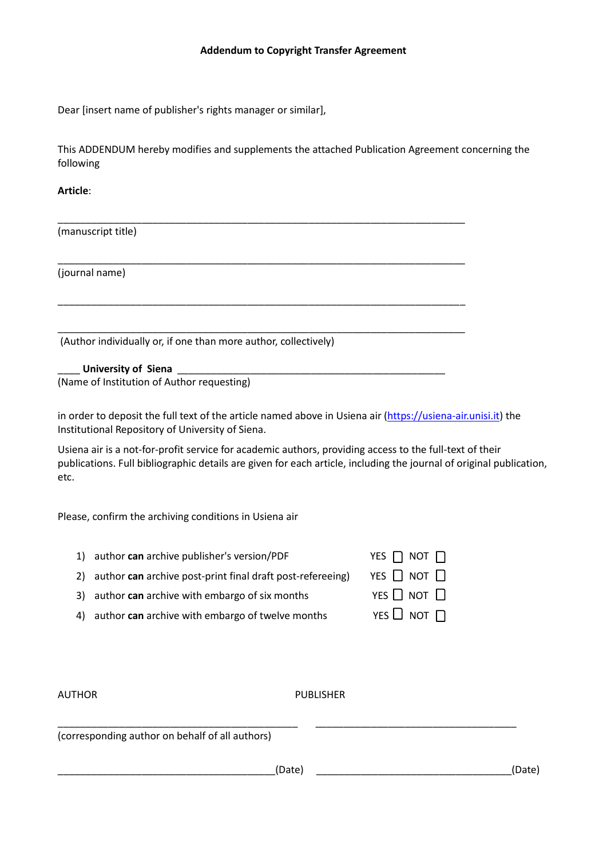## **Addendum to Copyright Transfer Agreement**

Dear [insert name of publisher's rights manager or similar],

This ADDENDUM hereby modifies and supplements the attached Publication Agreement concerning the following

\_\_\_\_\_\_\_\_\_\_\_\_\_\_\_\_\_\_\_\_\_\_\_\_\_\_\_\_\_\_\_\_\_\_\_\_\_\_\_\_\_\_\_\_\_\_\_\_\_\_\_\_\_\_\_\_\_\_\_\_\_\_\_\_\_\_\_\_\_\_\_\_\_

\_\_\_\_\_\_\_\_\_\_\_\_\_\_\_\_\_\_\_\_\_\_\_\_\_\_\_\_\_\_\_\_\_\_\_\_\_\_\_\_\_\_\_\_\_\_\_\_\_\_\_\_\_\_\_\_\_\_\_\_\_\_\_\_\_\_\_\_\_\_\_\_\_

\_\_\_\_\_\_\_\_\_\_\_\_\_\_\_\_\_\_\_\_\_\_\_\_\_\_\_\_\_\_\_\_\_\_\_\_\_\_\_\_\_\_\_\_\_\_\_\_\_\_\_\_\_\_\_\_\_\_\_\_\_\_\_\_\_\_\_\_\_\_\_\_\_

\_\_\_\_\_\_\_\_\_\_\_\_\_\_\_\_\_\_\_\_\_\_\_\_\_\_\_\_\_\_\_\_\_\_\_\_\_\_\_\_\_\_\_\_\_\_\_\_\_\_\_\_\_\_\_\_\_\_\_\_\_\_\_\_\_\_\_\_\_\_\_\_\_

# **Article**:

(manuscript title)

(journal name)

(Author individually or, if one than more author, collectively)

\_\_\_\_ **University of Siena** \_\_\_\_\_\_\_\_\_\_\_\_\_\_\_\_\_\_\_\_\_\_\_\_\_\_\_\_\_\_\_\_\_\_\_\_\_\_\_\_\_\_\_\_\_\_\_\_

(Name of Institution of Author requesting)

in order to deposit the full text of the article named above in Usiena air [\(https://usiena](https://usiena-air.unisi.it/)-air.unisi.it) the Institutional Repository of University of Siena.

Usiena air is a not-for-profit service for academic authors, providing access to the full-text of their publications. Full bibliographic details are given for each article, including the journal of original publication, etc.

Please, confirm the archiving conditions in Usiena air

| 1) author can archive publisher's version/PDF                 | YES $\Box$ NOT $\Box$ |
|---------------------------------------------------------------|-----------------------|
| 2) author can archive post-print final draft post-refereeing) | YES $\Box$ Not $\Box$ |

- 3) author **can** archive with embargo of six months
- 4) author **can** archive with embargo of twelve months YES  $\Box$  NOT  $\Box$

| ן וטון נאז            |  |
|-----------------------|--|
| YES $\Box$ Not $\Box$ |  |
| YES $\Box$ NOT $\Box$ |  |

| <b>AUTHOR</b>                                   | <b>PUBLISHER</b> |        |
|-------------------------------------------------|------------------|--------|
| (corresponding author on behalf of all authors) |                  |        |
|                                                 | (Date)           | (Date) |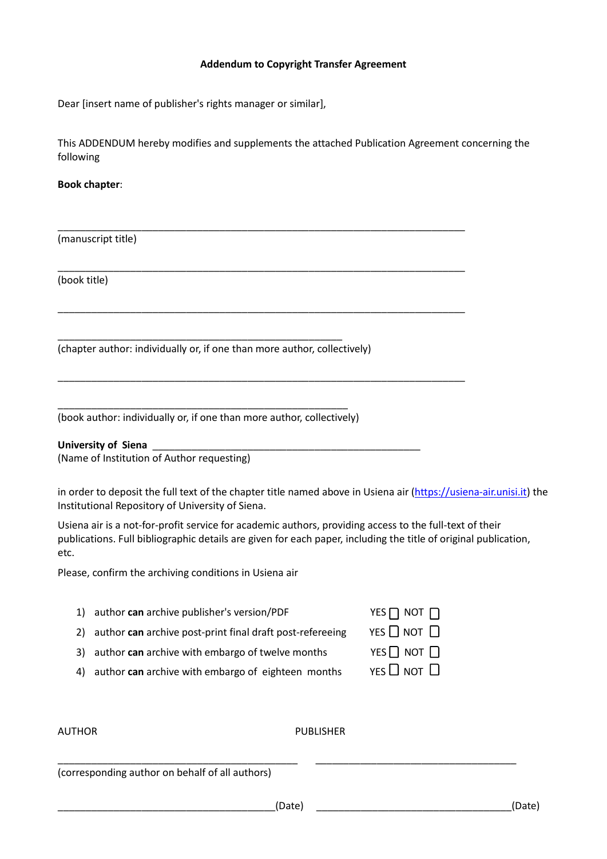# **Addendum to Copyright Transfer Agreement**

Dear [insert name of publisher's rights manager or similar],

This ADDENDUM hereby modifies and supplements the attached Publication Agreement concerning the following

\_\_\_\_\_\_\_\_\_\_\_\_\_\_\_\_\_\_\_\_\_\_\_\_\_\_\_\_\_\_\_\_\_\_\_\_\_\_\_\_\_\_\_\_\_\_\_\_\_\_\_\_\_\_\_\_\_\_\_\_\_\_\_\_\_\_\_\_\_\_\_\_\_

\_\_\_\_\_\_\_\_\_\_\_\_\_\_\_\_\_\_\_\_\_\_\_\_\_\_\_\_\_\_\_\_\_\_\_\_\_\_\_\_\_\_\_\_\_\_\_\_\_\_\_\_\_\_\_\_\_\_\_\_\_\_\_\_\_\_\_\_\_\_\_\_\_

\_\_\_\_\_\_\_\_\_\_\_\_\_\_\_\_\_\_\_\_\_\_\_\_\_\_\_\_\_\_\_\_\_\_\_\_\_\_\_\_\_\_\_\_\_\_\_\_\_\_\_\_\_\_\_\_\_\_\_\_\_\_\_\_\_\_\_\_\_\_\_\_\_

\_\_\_\_\_\_\_\_\_\_\_\_\_\_\_\_\_\_\_\_\_\_\_\_\_\_\_\_\_\_\_\_\_\_\_\_\_\_\_\_\_\_\_\_\_\_\_\_\_\_\_\_\_\_\_\_\_\_\_\_\_\_\_\_\_\_\_\_\_\_\_\_\_

## **Book chapter**:

(manuscript title)

(book title)

(chapter author: individually or, if one than more author, collectively)

\_\_\_\_\_\_\_\_\_\_\_\_\_\_\_\_\_\_\_\_\_\_\_\_\_\_\_\_\_\_\_\_\_\_\_\_\_\_\_\_\_\_\_\_\_\_\_\_\_\_\_

\_\_\_\_\_\_\_\_\_\_\_\_\_\_\_\_\_\_\_\_\_\_\_\_\_\_\_\_\_\_\_\_\_\_\_\_\_\_\_\_\_\_\_\_\_\_\_\_\_\_\_\_ (book author: individually or, if one than more author, collectively)

#### **University of Siena** \_\_\_\_\_\_\_\_\_\_\_\_\_\_\_\_\_\_\_\_\_\_\_\_\_\_\_\_\_\_\_\_\_\_\_\_\_\_\_\_\_\_\_\_\_\_\_\_

(Name of Institution of Author requesting)

in order to deposit the full text of the chapter title named above in Usiena air [\(https://usiena](https://usiena-air.unisi.it/)-air.unisi.it) the Institutional Repository of University of Siena.

Usiena air is a not-for-profit service for academic authors, providing access to the full-text of their publications. Full bibliographic details are given for each paper, including the title of original publication, etc.

Please, confirm the archiving conditions in Usiena air

- 1) author **can** archive publisher's version/PDF YES NOT NOT NOT N
- 2) author **can** archive post-print final draft post-refereeing YES  $\Box$  NOT  $\Box$
- 3) author **can** archive with embargo of twelve months YES NOT  $\Box$
- 4) author **can** archive with embargo of eighteen months YES  $\Box$  NOT  $\Box$

|  | UT | HOR |  |
|--|----|-----|--|

## UTHOR PUBLISHER

(corresponding author on behalf of all authors)

\_\_\_\_\_\_\_\_\_\_\_\_\_\_\_\_\_\_\_\_\_\_\_\_\_\_\_\_\_\_\_\_\_\_\_\_\_\_\_\_\_\_\_ \_\_\_\_\_\_\_\_\_\_\_\_\_\_\_\_\_\_\_\_\_\_\_\_\_\_\_\_\_\_\_\_\_\_\_\_